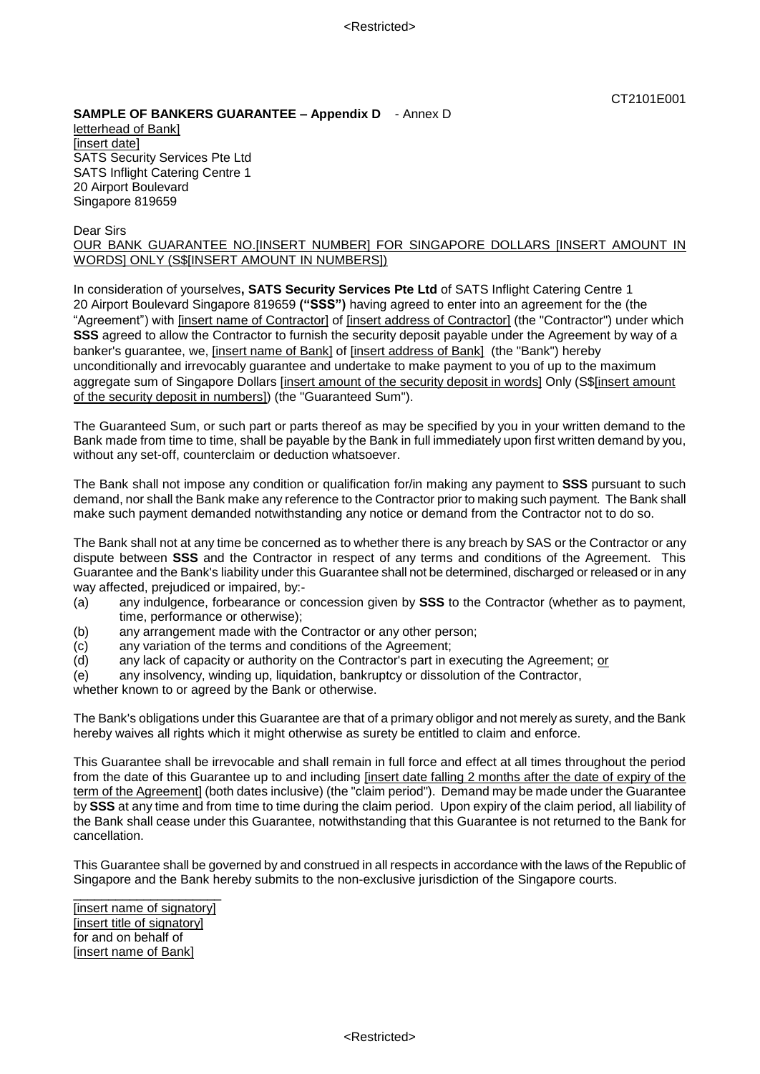## **SAMPLE OF BANKERS GUARANTEE – Appendix D** - Annex D letterhead of Bank] [insert date] SATS Security Services Pte Ltd SATS Inflight Catering Centre 1 20 Airport Boulevard

Dear Sirs

Singapore 819659

## OUR BANK GUARANTEE NO.[INSERT NUMBER] FOR SINGAPORE DOLLARS [INSERT AMOUNT IN WORDS] ONLY (S\$[INSERT AMOUNT IN NUMBERS])

In consideration of yourselves**, SATS Security Services Pte Ltd** of SATS Inflight Catering Centre 1 20 Airport Boulevard Singapore 819659 **("SSS")** having agreed to enter into an agreement for the (the "Agreement") with [insert name of Contractor] of [insert address of Contractor] (the "Contractor") under which **SSS** agreed to allow the Contractor to furnish the security deposit payable under the Agreement by way of a banker's guarantee, we, [insert name of Bank] of [insert address of Bank] (the "Bank") hereby unconditionally and irrevocably guarantee and undertake to make payment to you of up to the maximum aggregate sum of Singapore Dollars [insert amount of the security deposit in words] Only (S\$[insert amount of the security deposit in numbers]) (the "Guaranteed Sum").

The Guaranteed Sum, or such part or parts thereof as may be specified by you in your written demand to the Bank made from time to time, shall be payable by the Bank in full immediately upon first written demand by you, without any set-off, counterclaim or deduction whatsoever.

The Bank shall not impose any condition or qualification for/in making any payment to **SSS** pursuant to such demand, nor shall the Bank make any reference to the Contractor prior to making such payment. The Bank shall make such payment demanded notwithstanding any notice or demand from the Contractor not to do so.

The Bank shall not at any time be concerned as to whether there is any breach by SAS or the Contractor or any dispute between **SSS** and the Contractor in respect of any terms and conditions of the Agreement. This Guarantee and the Bank's liability under this Guarantee shall not be determined, discharged or released or in any way affected, prejudiced or impaired, by:-

- (a) any indulgence, forbearance or concession given by **SSS** to the Contractor (whether as to payment, time, performance or otherwise);
- (b) any arrangement made with the Contractor or any other person;
- (c) any variation of the terms and conditions of the Agreement;
- (d) any lack of capacity or authority on the Contractor's part in executing the Agreement; or
- (e) any insolvency, winding up, liquidation, bankruptcy or dissolution of the Contractor,

whether known to or agreed by the Bank or otherwise.

The Bank's obligations under this Guarantee are that of a primary obligor and not merely as surety, and the Bank hereby waives all rights which it might otherwise as surety be entitled to claim and enforce.

This Guarantee shall be irrevocable and shall remain in full force and effect at all times throughout the period from the date of this Guarantee up to and including [insert date falling 2 months after the date of expiry of the term of the Agreement] (both dates inclusive) (the "claim period"). Demand may be made under the Guarantee by **SSS** at any time and from time to time during the claim period. Upon expiry of the claim period, all liability of the Bank shall cease under this Guarantee, notwithstanding that this Guarantee is not returned to the Bank for cancellation.

This Guarantee shall be governed by and construed in all respects in accordance with the laws of the Republic of Singapore and the Bank hereby submits to the non-exclusive jurisdiction of the Singapore courts.

[insert name of signatory] [insert title of signatory] for and on behalf of [insert name of Bank]

\_\_\_\_\_\_\_\_\_\_\_\_\_\_\_\_\_\_\_\_\_